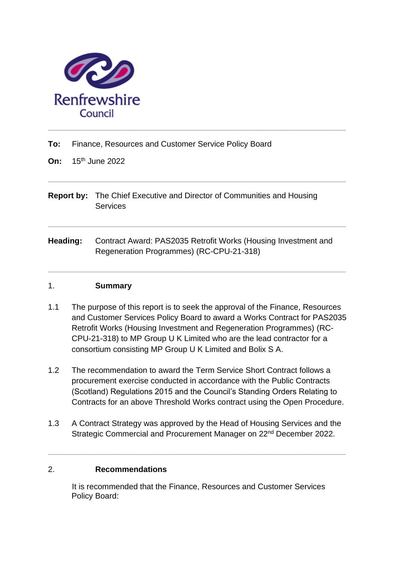

- **To:** Finance, Resources and Customer Service Policy Board
- **On:** 15th June 2022
- **Report by:** The Chief Executive and Director of Communities and Housing **Services**

**\_\_\_\_\_\_\_\_\_\_\_\_\_\_\_\_\_\_\_\_\_\_\_\_\_\_\_\_\_\_\_\_\_\_\_\_\_\_\_\_\_\_\_\_\_\_\_\_\_\_\_\_\_\_\_\_\_\_\_\_\_\_\_\_\_\_\_**

**\_\_\_\_\_\_\_\_\_\_\_\_\_\_\_\_\_\_\_\_\_\_\_\_\_\_\_\_\_\_\_\_\_\_\_\_\_\_\_\_\_\_\_\_\_\_\_\_\_\_\_\_\_\_\_\_\_\_\_\_\_\_\_\_\_\_\_**

**\_\_\_\_\_\_\_\_\_\_\_\_\_\_\_\_\_\_\_\_\_\_\_\_\_\_\_\_\_\_\_\_\_\_\_\_\_\_\_\_\_\_\_\_\_\_\_\_\_\_\_\_\_\_\_\_\_\_\_\_\_\_\_\_\_\_\_**

**Heading:** Contract Award: PAS2035 Retrofit Works (Housing Investment and Regeneration Programmes) (RC-CPU-21-318)

#### 1. **Summary**

- 1.1 The purpose of this report is to seek the approval of the Finance, Resources and Customer Services Policy Board to award a Works Contract for PAS2035 Retrofit Works (Housing Investment and Regeneration Programmes) (RC-CPU-21-318) to MP Group U K Limited who are the lead contractor for a consortium consisting MP Group U K Limited and Bolix S A.
- 1.2 The recommendation to award the Term Service Short Contract follows a procurement exercise conducted in accordance with the Public Contracts (Scotland) Regulations 2015 and the Council's Standing Orders Relating to Contracts for an above Threshold Works contract using the Open Procedure.
- 1.3 A Contract Strategy was approved by the Head of Housing Services and the Strategic Commercial and Procurement Manager on 22<sup>nd</sup> December 2022.

**\_\_\_\_\_\_\_\_\_\_\_\_\_\_\_\_\_\_\_\_\_\_\_\_\_\_\_\_\_\_\_\_\_\_\_\_\_\_\_\_\_\_\_\_\_\_\_\_\_\_\_\_\_\_\_\_\_\_\_\_\_\_\_\_\_\_\_**

#### 2. **Recommendations**

It is recommended that the Finance, Resources and Customer Services Policy Board: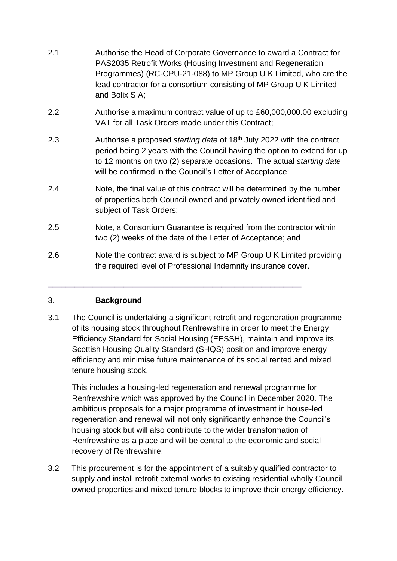- 2.1 Authorise the Head of Corporate Governance to award a Contract for PAS2035 Retrofit Works (Housing Investment and Regeneration Programmes) (RC-CPU-21-088) to MP Group U K Limited, who are the lead contractor for a consortium consisting of MP Group U K Limited and Bolix S A;
- 2.2 Authorise a maximum contract value of up to £60,000,000.00 excluding VAT for all Task Orders made under this Contract;
- 2.3 Authorise a proposed *starting date* of 18 th July 2022 with the contract period being 2 years with the Council having the option to extend for up to 12 months on two (2) separate occasions. The actual *starting date* will be confirmed in the Council's Letter of Acceptance:
- 2.4 Note, the final value of this contract will be determined by the number of properties both Council owned and privately owned identified and subject of Task Orders;
- 2.5 Note, a Consortium Guarantee is required from the contractor within two (2) weeks of the date of the Letter of Acceptance; and
- 2.6 Note the contract award is subject to MP Group U K Limited providing the required level of Professional Indemnity insurance cover.

\_\_\_\_\_\_\_\_\_\_\_\_\_\_\_\_\_\_\_\_\_\_\_\_\_\_\_\_\_\_\_\_\_\_\_\_\_\_\_\_\_\_\_\_\_\_\_\_\_\_\_\_\_\_\_\_\_

# 3. **Background**

3.1 The Council is undertaking a significant retrofit and regeneration programme of its housing stock throughout Renfrewshire in order to meet the Energy Efficiency Standard for Social Housing (EESSH), maintain and improve its Scottish Housing Quality Standard (SHQS) position and improve energy efficiency and minimise future maintenance of its social rented and mixed tenure housing stock.

This includes a housing-led regeneration and renewal programme for Renfrewshire which was approved by the Council in December 2020. The ambitious proposals for a major programme of investment in house-led regeneration and renewal will not only significantly enhance the Council's housing stock but will also contribute to the wider transformation of Renfrewshire as a place and will be central to the economic and social recovery of Renfrewshire.

3.2 This procurement is for the appointment of a suitably qualified contractor to supply and install retrofit external works to existing residential wholly Council owned properties and mixed tenure blocks to improve their energy efficiency.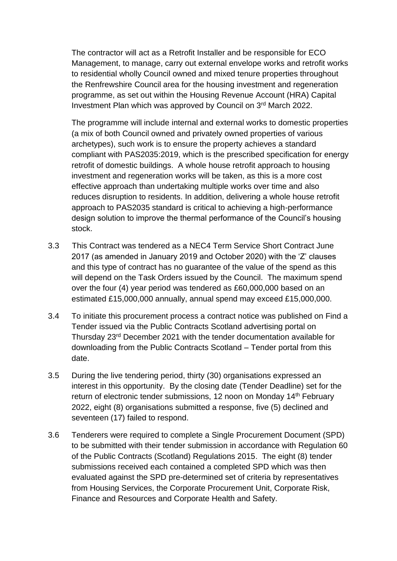The contractor will act as a Retrofit Installer and be responsible for ECO Management, to manage, carry out external envelope works and retrofit works to residential wholly Council owned and mixed tenure properties throughout the Renfrewshire Council area for the housing investment and regeneration programme, as set out within the Housing Revenue Account (HRA) Capital Investment Plan which was approved by Council on 3rd March 2022.

The programme will include internal and external works to domestic properties (a mix of both Council owned and privately owned properties of various archetypes), such work is to ensure the property achieves a standard compliant with PAS2035:2019, which is the prescribed specification for energy retrofit of domestic buildings. A whole house retrofit approach to housing investment and regeneration works will be taken, as this is a more cost effective approach than undertaking multiple works over time and also reduces disruption to residents. In addition, delivering a whole house retrofit approach to PAS2035 standard is critical to achieving a high-performance design solution to improve the thermal performance of the Council's housing stock.

- 3.3 This Contract was tendered as a NEC4 Term Service Short Contract June 2017 (as amended in January 2019 and October 2020) with the 'Z' clauses and this type of contract has no guarantee of the value of the spend as this will depend on the Task Orders issued by the Council. The maximum spend over the four (4) year period was tendered as £60,000,000 based on an estimated £15,000,000 annually, annual spend may exceed £15,000,000.
- 3.4 To initiate this procurement process a contract notice was published on Find a Tender issued via the Public Contracts Scotland advertising portal on Thursday 23rd December 2021 with the tender documentation available for downloading from the Public Contracts Scotland – Tender portal from this date.
- 3.5 During the live tendering period, thirty (30) organisations expressed an interest in this opportunity. By the closing date (Tender Deadline) set for the return of electronic tender submissions, 12 noon on Monday 14<sup>th</sup> February 2022, eight (8) organisations submitted a response, five (5) declined and seventeen (17) failed to respond.
- 3.6 Tenderers were required to complete a Single Procurement Document (SPD) to be submitted with their tender submission in accordance with Regulation 60 of the Public Contracts (Scotland) Regulations 2015. The eight (8) tender submissions received each contained a completed SPD which was then evaluated against the SPD pre-determined set of criteria by representatives from Housing Services, the Corporate Procurement Unit, Corporate Risk, Finance and Resources and Corporate Health and Safety.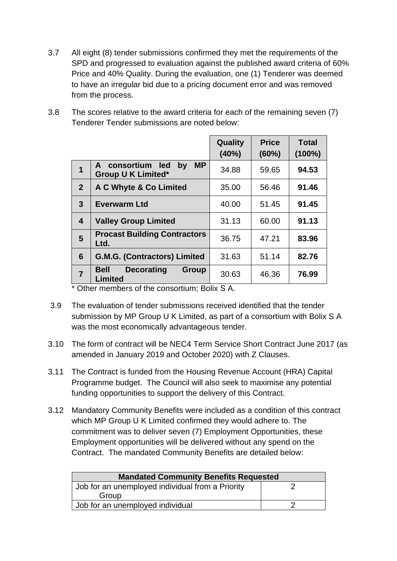- 3.7 All eight (8) tender submissions confirmed they met the requirements of the SPD and progressed to evaluation against the published award criteria of 60% Price and 40% Quality. During the evaluation, one (1) Tenderer was deemed to have an irregular bid due to a pricing document error and was removed from the process.
- 3.8 The scores relative to the award criteria for each of the remaining seven (7) Tenderer Tender submissions are noted below:

|                |                                                                  | Quality<br>(40%) | <b>Price</b><br>$(60\%)$ | <b>Total</b><br>$(100\%)$ |
|----------------|------------------------------------------------------------------|------------------|--------------------------|---------------------------|
| $\mathbf 1$    | A consortium led<br><b>MP</b><br>by<br><b>Group U K Limited*</b> | 34.88            | 59.65                    | 94.53                     |
| 2 <sup>2</sup> | A C Whyte & Co Limited                                           | 35.00            | 56.46                    | 91.46                     |
| $\mathbf{3}$   | <b>Everwarm Ltd</b>                                              | 40.00            | 51.45                    | 91.45                     |
| 4              | <b>Valley Group Limited</b>                                      | 31.13            | 60.00                    | 91.13                     |
| $5\phantom{1}$ | <b>Procast Building Contractors</b><br>Ltd.                      | 36.75            | 47.21                    | 83.96                     |
| 6              | <b>G.M.G. (Contractors) Limited</b>                              | 31.63            | 51.14                    | 82.76                     |
| $\overline{7}$ | <b>Decorating</b><br><b>Bell</b><br><b>Group</b><br>Limited      | 30.63            | 46.36                    | 76.99                     |

\* Other members of the consortium; Bolix S A.

- 3.9 The evaluation of tender submissions received identified that the tender submission by MP Group U K Limited, as part of a consortium with Bolix S A was the most economically advantageous tender.
- 3.10 The form of contract will be NEC4 Term Service Short Contract June 2017 (as amended in January 2019 and October 2020) with Z Clauses.
- 3.11 The Contract is funded from the Housing Revenue Account (HRA) Capital Programme budget. The Council will also seek to maximise any potential funding opportunities to support the delivery of this Contract.
- 3.12 Mandatory Community Benefits were included as a condition of this contract which MP Group U K Limited confirmed they would adhere to. The commitment was to deliver seven (7) Employment Opportunities, these Employment opportunities will be delivered without any spend on the Contract. The mandated Community Benefits are detailed below:

| <b>Mandated Community Benefits Requested</b>     |  |
|--------------------------------------------------|--|
| Job for an unemployed individual from a Priority |  |
| Group                                            |  |
| Job for an unemployed individual                 |  |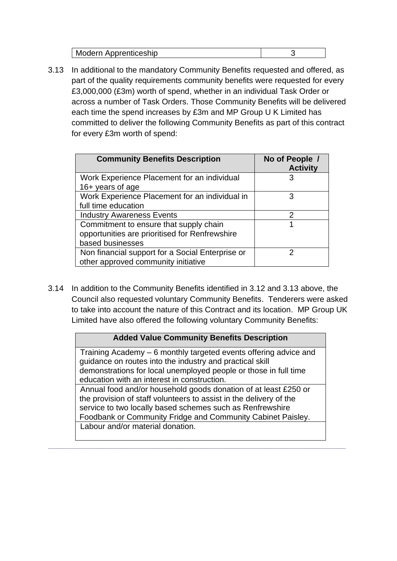| Modern Apprenticeship |  |
|-----------------------|--|
|-----------------------|--|

3.13 In additional to the mandatory Community Benefits requested and offered, as part of the quality requirements community benefits were requested for every £3,000,000 (£3m) worth of spend, whether in an individual Task Order or across a number of Task Orders. Those Community Benefits will be delivered each time the spend increases by £3m and MP Group U K Limited has committed to deliver the following Community Benefits as part of this contract for every £3m worth of spend:

| <b>Community Benefits Description</b>            | No of People /<br><b>Activity</b> |
|--------------------------------------------------|-----------------------------------|
| Work Experience Placement for an individual      | 3                                 |
| 16+ years of age                                 |                                   |
| Work Experience Placement for an individual in   | 3                                 |
| full time education                              |                                   |
| <b>Industry Awareness Events</b>                 | 2                                 |
| Commitment to ensure that supply chain           |                                   |
| opportunities are prioritised for Renfrewshire   |                                   |
| based businesses                                 |                                   |
| Non financial support for a Social Enterprise or | າ                                 |
| other approved community initiative              |                                   |

3.14 In addition to the Community Benefits identified in 3.12 and 3.13 above, the Council also requested voluntary Community Benefits. Tenderers were asked to take into account the nature of this Contract and its location. MP Group UK Limited have also offered the following voluntary Community Benefits:

#### **Added Value Community Benefits Description**

Training Academy – 6 monthly targeted events offering advice and guidance on routes into the industry and practical skill demonstrations for local unemployed people or those in full time education with an interest in construction. Annual food and/or household goods donation of at least £250 or the provision of staff volunteers to assist in the delivery of the service to two locally based schemes such as Renfrewshire Foodbank or Community Fridge and Community Cabinet Paisley. Labour and/or material donation.

**\_\_\_\_\_\_\_\_\_\_\_\_\_\_\_\_\_\_\_\_\_\_\_\_\_\_\_\_\_\_\_\_\_\_\_\_\_\_\_\_\_\_\_\_\_\_\_\_\_\_\_\_\_\_\_\_\_\_\_\_\_\_\_\_\_\_\_**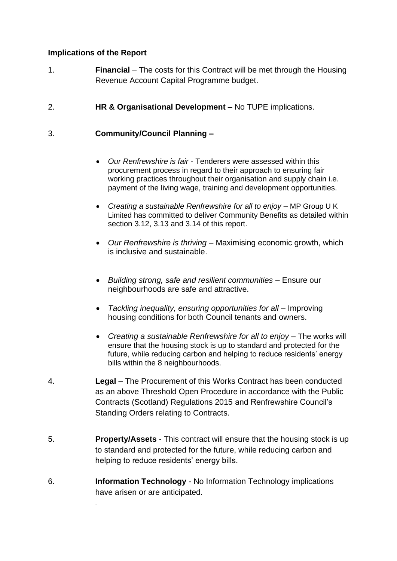### **Implications of the Report**

*.* 

- 1. **Financial** *–* The costs for this Contract will be met through the Housing Revenue Account Capital Programme budget.
- 2. **HR & Organisational Development** *–* No TUPE implications.

## 3. **Community/Council Planning –**

- *Our Renfrewshire is fair* Tenderers were assessed within this procurement process in regard to their approach to ensuring fair working practices throughout their organisation and supply chain i.e. payment of the living wage, training and development opportunities.
- *Creating a sustainable Renfrewshire for all to enjoy* MP Group U K Limited has committed to deliver Community Benefits as detailed within section 3.12, 3.13 and 3.14 of this report.
- *Our Renfrewshire is thriving* Maximising economic growth, which is inclusive and sustainable.
- *Building strong, safe and resilient communities* Ensure our neighbourhoods are safe and attractive.
- *Tackling inequality, ensuring opportunities for all* Improving housing conditions for both Council tenants and owners.
- *Creating a sustainable Renfrewshire for all to enjoy* The works will ensure that the housing stock is up to standard and protected for the future, while reducing carbon and helping to reduce residents' energy bills within the 8 neighbourhoods.
- 4. **Legal** The Procurement of this Works Contract has been conducted as an above Threshold Open Procedure in accordance with the Public Contracts (Scotland) Regulations 2015 and Renfrewshire Council's Standing Orders relating to Contracts.
- 5. **Property/Assets** This contract will ensure that the housing stock is up to standard and protected for the future, while reducing carbon and helping to reduce residents' energy bills.
- 6. **Information Technology** No Information Technology implications have arisen or are anticipated.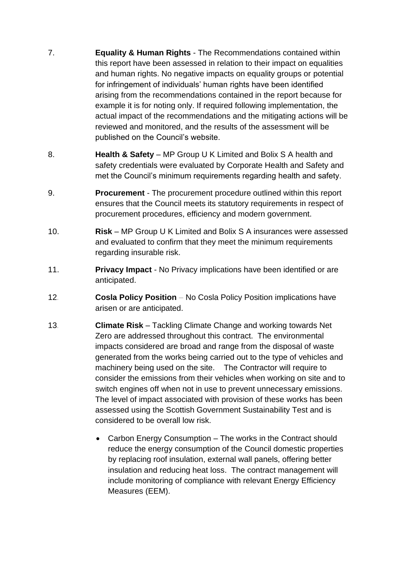- 7. **Equality & Human Rights** The Recommendations contained within this report have been assessed in relation to their impact on equalities and human rights. No negative impacts on equality groups or potential for infringement of individuals' human rights have been identified arising from the recommendations contained in the report because for example it is for noting only. If required following implementation, the actual impact of the recommendations and the mitigating actions will be reviewed and monitored, and the results of the assessment will be published on the Council's website.
- 8. **Health & Safety** MP Group U K Limited and Bolix S A health and safety credentials were evaluated by Corporate Health and Safety and met the Council's minimum requirements regarding health and safety.
- 9. **Procurement** The procurement procedure outlined within this report ensures that the Council meets its statutory requirements in respect of procurement procedures, efficiency and modern government.
- 10. **Risk** *–* MP Group U K Limited and Bolix S A insurances were assessed and evaluated to confirm that they meet the minimum requirements regarding insurable risk.
- 11. **Privacy Impact** No Privacy implications have been identified or are anticipated.
- 12*.* **Cosla Policy Position** *–* No Cosla Policy Position implications have arisen or are anticipated.
- 13*.* **Climate Risk** Tackling Climate Change and working towards Net Zero are addressed throughout this contract. The environmental impacts considered are broad and range from the disposal of waste generated from the works being carried out to the type of vehicles and machinery being used on the site. The Contractor will require to consider the emissions from their vehicles when working on site and to switch engines off when not in use to prevent unnecessary emissions. The level of impact associated with provision of these works has been assessed using the Scottish Government Sustainability Test and is considered to be overall low risk.
	- Carbon Energy Consumption The works in the Contract should reduce the energy consumption of the Council domestic properties by replacing roof insulation, external wall panels, offering better insulation and reducing heat loss. The contract management will include monitoring of compliance with relevant Energy Efficiency Measures (EEM).